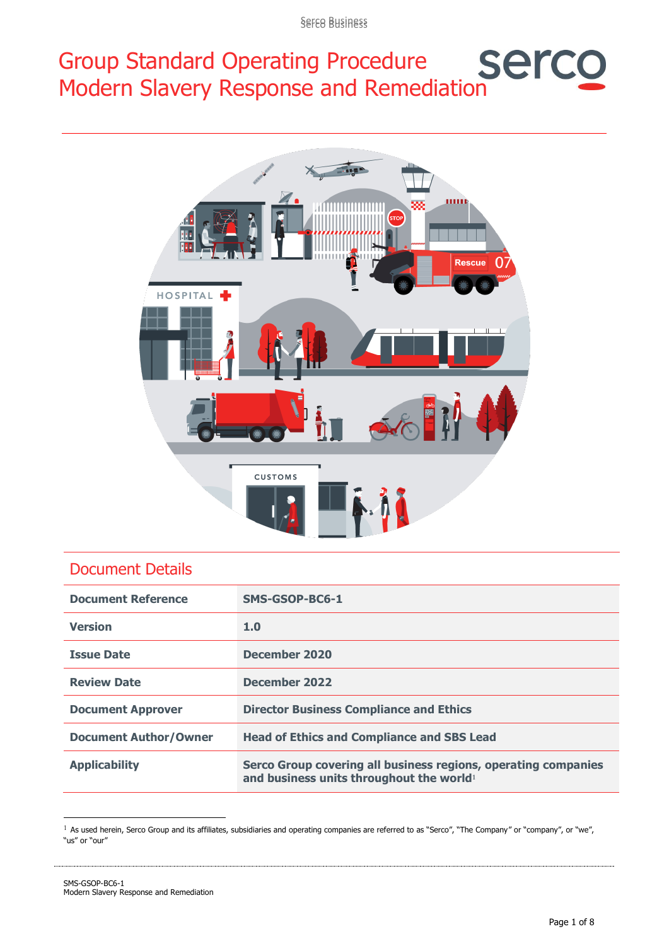Sereo Business

# Group Standard Operating Procedure Group Standard Operating Procedure Serc<br>Modern Slavery Response and Remediation



### Document Details

| <b>Document Reference</b>    | SMS-GSOP-BC6-1                                                                                                         |
|------------------------------|------------------------------------------------------------------------------------------------------------------------|
| <b>Version</b>               | 1.0                                                                                                                    |
| <b>Issue Date</b>            | December 2020                                                                                                          |
| <b>Review Date</b>           | December 2022                                                                                                          |
| <b>Document Approver</b>     | <b>Director Business Compliance and Ethics</b>                                                                         |
| <b>Document Author/Owner</b> | <b>Head of Ethics and Compliance and SBS Lead</b>                                                                      |
| <b>Applicability</b>         | Serco Group covering all business regions, operating companies<br>and business units throughout the world <sup>1</sup> |

 $1$  As used herein, Serco Group and its affiliates, subsidiaries and operating companies are referred to as "Serco", "The Company" or "company", or "we", "us" or "our"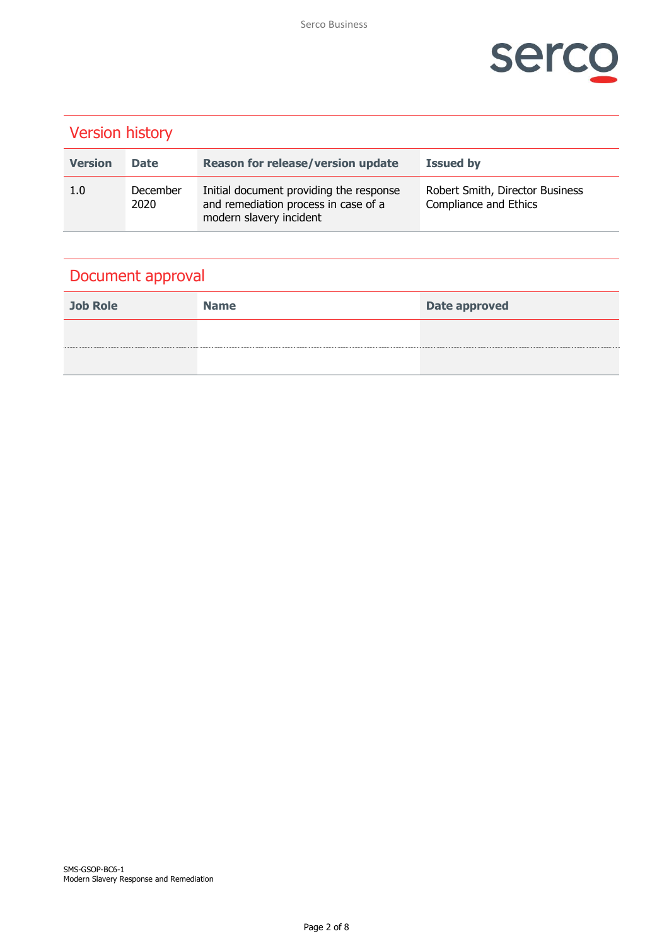

| <b>Version history</b> |                  |                                                                                                            |                                                          |  |
|------------------------|------------------|------------------------------------------------------------------------------------------------------------|----------------------------------------------------------|--|
| <b>Version</b>         | <b>Date</b>      | <b>Reason for release/version update</b>                                                                   | <b>Issued by</b>                                         |  |
| 1.0                    | December<br>2020 | Initial document providing the response<br>and remediation process in case of a<br>modern slavery incident | Robert Smith, Director Business<br>Compliance and Ethics |  |

### Document approval

| <b>Job Role</b> | <b>Name</b> | <b>Date approved</b> |
|-----------------|-------------|----------------------|
|                 |             |                      |
|                 |             |                      |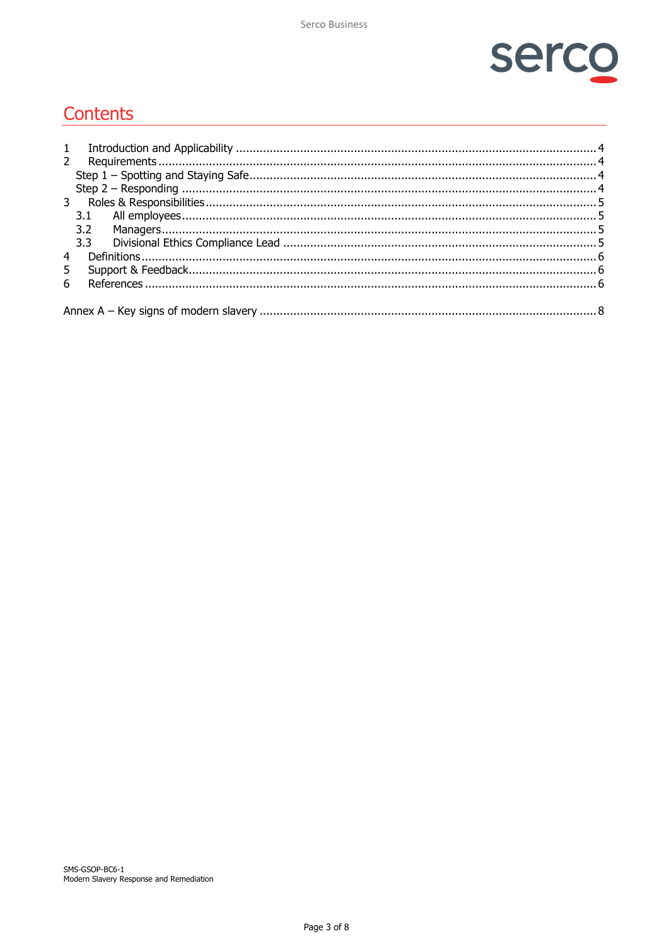

# Contents

| 2 |  |
|---|--|
|   |  |
|   |  |
|   |  |
|   |  |
|   |  |
|   |  |
|   |  |
|   |  |
| 5 |  |
| 6 |  |
|   |  |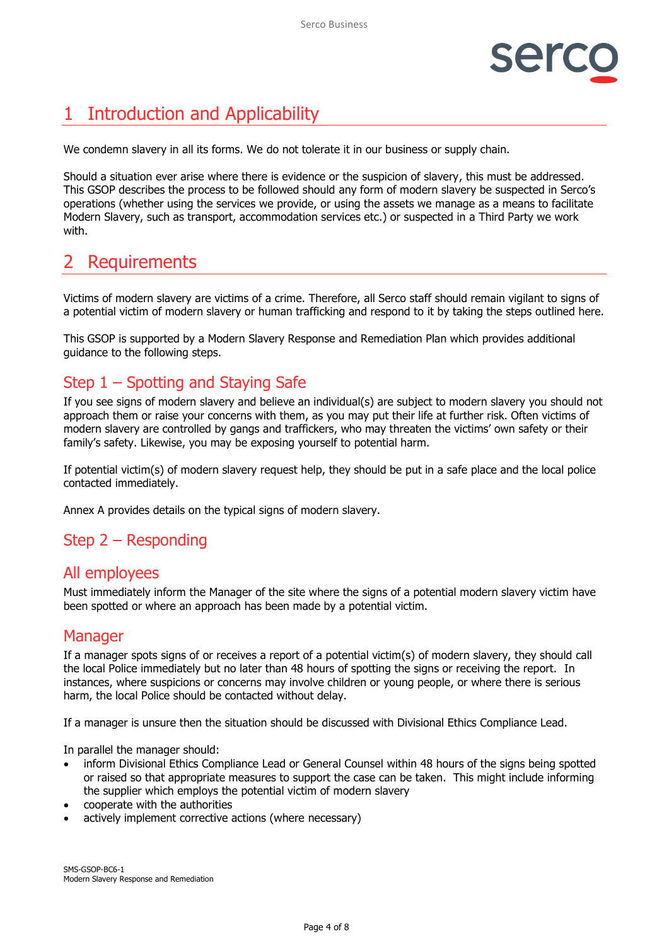# <span id="page-3-0"></span>1 Introduction and Applicability

We condemn slavery in all its forms. We do not tolerate it in our business or supply chain.

Should a situation ever arise where there is evidence or the suspicion of slavery, this must be addressed. This GSOP describes the process to be followed should any form of modern slavery be suspected in Serco's operations (whether using the services we provide, or using the assets we manage as a means to facilitate Modern Slavery, such as transport, accommodation services etc.) or suspected in a Third Party we work with.

### <span id="page-3-1"></span>2 Requirements

Victims of modern slavery are victims of a crime. Therefore, all Serco staff should remain vigilant to signs of a potential victim of modern slavery or human trafficking and respond to it by taking the steps outlined here.

This GSOP is supported by a Modern Slavery Response and Remediation Plan which provides additional guidance to the following steps.

### <span id="page-3-2"></span>Step 1 – Spotting and Staying Safe

If you see signs of modern slavery and believe an individual(s) are subject to modern slavery you should not approach them or raise your concerns with them, as you may put their life at further risk. Often victims of modern slavery are controlled by gangs and traffickers, who may threaten the victims' own safety or their family's safety. Likewise, you may be exposing yourself to potential harm.

If potential victim(s) of modern slavery request help, they should be put in a safe place and the local police contacted immediately.

<span id="page-3-3"></span>Annex A provides details on the typical signs of modern slavery.

### Step 2 – Responding

#### All employees

Must immediately inform the Manager of the site where the signs of a potential modern slavery victim have been spotted or where an approach has been made by a potential victim.

#### Manager

If a manager spots signs of or receives a report of a potential victim(s) of modern slavery, they should call the local Police immediately but no later than 48 hours of spotting the signs or receiving the report. In instances, where suspicions or concerns may involve children or young people, or where there is serious harm, the local Police should be contacted without delay.

If a manager is unsure then the situation should be discussed with Divisional Ethics Compliance Lead.

In parallel the manager should:

- inform Divisional Ethics Compliance Lead or General Counsel within 48 hours of the signs being spotted or raised so that appropriate measures to support the case can be taken. This might include informing the supplier which employs the potential victim of modern slavery
- cooperate with the authorities
- actively implement corrective actions (where necessary)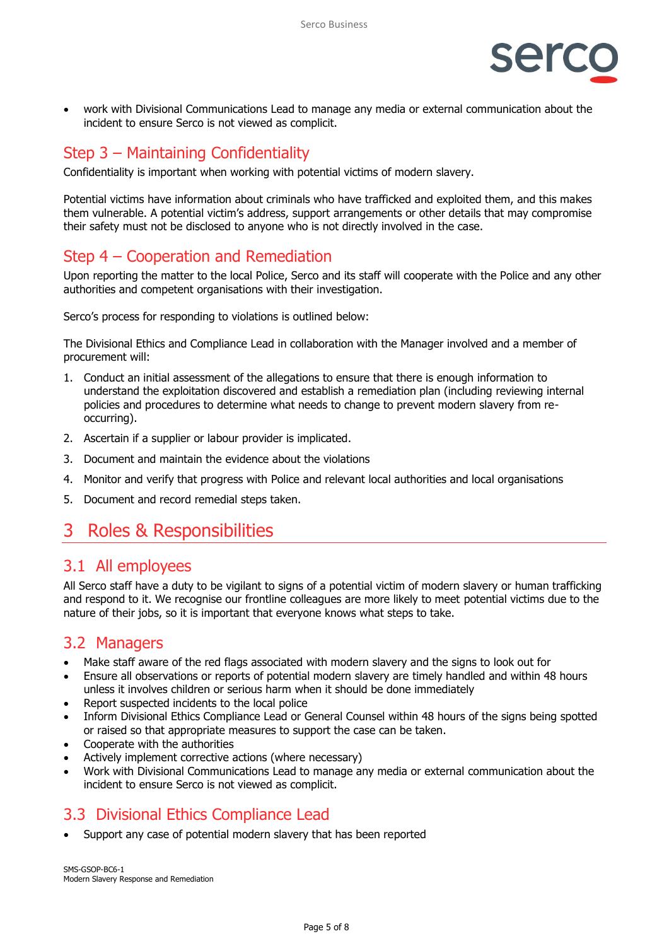

• work with Divisional Communications Lead to manage any media or external communication about the incident to ensure Serco is not viewed as complicit.

### Step 3 – Maintaining Confidentiality

Confidentiality is important when working with potential victims of modern slavery.

Potential victims have information about criminals who have trafficked and exploited them, and this makes them vulnerable. A potential victim's address, support arrangements or other details that may compromise their safety must not be disclosed to anyone who is not directly involved in the case.

#### Step 4 – Cooperation and Remediation

Upon reporting the matter to the local Police, Serco and its staff will cooperate with the Police and any other authorities and competent organisations with their investigation.

Serco's process for responding to violations is outlined below:

The Divisional Ethics and Compliance Lead in collaboration with the Manager involved and a member of procurement will:

- 1. Conduct an initial assessment of the allegations to ensure that there is enough information to understand the exploitation discovered and establish a remediation plan (including reviewing internal policies and procedures to determine what needs to change to prevent modern slavery from reoccurring).
- 2. Ascertain if a supplier or labour provider is implicated.
- 3. Document and maintain the evidence about the violations
- 4. Monitor and verify that progress with Police and relevant local authorities and local organisations
- 5. Document and record remedial steps taken.

### <span id="page-4-0"></span>3 Roles & Responsibilities

#### <span id="page-4-1"></span>3.1 All employees

All Serco staff have a duty to be vigilant to signs of a potential victim of modern slavery or human trafficking and respond to it. We recognise our frontline colleagues are more likely to meet potential victims due to the nature of their jobs, so it is important that everyone knows what steps to take.

#### <span id="page-4-2"></span>3.2 Managers

- Make staff aware of the red flags associated with modern slavery and the signs to look out for
- Ensure all observations or reports of potential modern slavery are timely handled and within 48 hours unless it involves children or serious harm when it should be done immediately
- Report suspected incidents to the local police
- Inform Divisional Ethics Compliance Lead or General Counsel within 48 hours of the signs being spotted or raised so that appropriate measures to support the case can be taken.
- Cooperate with the authorities
- Actively implement corrective actions (where necessary)
- Work with Divisional Communications Lead to manage any media or external communication about the incident to ensure Serco is not viewed as complicit.

### <span id="page-4-3"></span>3.3 Divisional Ethics Compliance Lead

Support any case of potential modern slavery that has been reported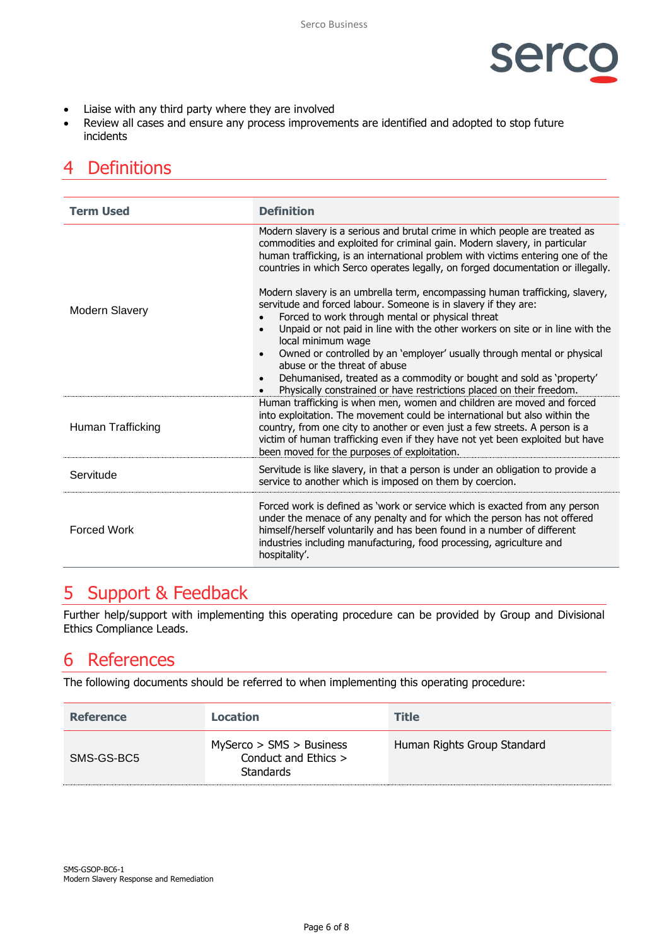

- Liaise with any third party where they are involved
- Review all cases and ensure any process improvements are identified and adopted to stop future incidents

## <span id="page-5-0"></span>4 Definitions

| <b>Term Used</b>      | <b>Definition</b>                                                                                                                                                                                                                                                                                                                                                                                                                                                                                                                                                                                                                                                                                                                                                                                                                                                                                         |  |
|-----------------------|-----------------------------------------------------------------------------------------------------------------------------------------------------------------------------------------------------------------------------------------------------------------------------------------------------------------------------------------------------------------------------------------------------------------------------------------------------------------------------------------------------------------------------------------------------------------------------------------------------------------------------------------------------------------------------------------------------------------------------------------------------------------------------------------------------------------------------------------------------------------------------------------------------------|--|
| <b>Modern Slavery</b> | Modern slavery is a serious and brutal crime in which people are treated as<br>commodities and exploited for criminal gain. Modern slavery, in particular<br>human trafficking, is an international problem with victims entering one of the<br>countries in which Serco operates legally, on forged documentation or illegally.<br>Modern slavery is an umbrella term, encompassing human trafficking, slavery,<br>servitude and forced labour. Someone is in slavery if they are:<br>Forced to work through mental or physical threat<br>Unpaid or not paid in line with the other workers on site or in line with the<br>local minimum wage<br>Owned or controlled by an 'employer' usually through mental or physical<br>abuse or the threat of abuse<br>Dehumanised, treated as a commodity or bought and sold as 'property'<br>Physically constrained or have restrictions placed on their freedom. |  |
| Human Trafficking     | Human trafficking is when men, women and children are moved and forced<br>into exploitation. The movement could be international but also within the<br>country, from one city to another or even just a few streets. A person is a<br>victim of human trafficking even if they have not yet been exploited but have<br>been moved for the purposes of exploitation.                                                                                                                                                                                                                                                                                                                                                                                                                                                                                                                                      |  |
| Servitude             | Servitude is like slavery, in that a person is under an obligation to provide a<br>service to another which is imposed on them by coercion.                                                                                                                                                                                                                                                                                                                                                                                                                                                                                                                                                                                                                                                                                                                                                               |  |
| <b>Forced Work</b>    | Forced work is defined as 'work or service which is exacted from any person<br>under the menace of any penalty and for which the person has not offered<br>himself/herself voluntarily and has been found in a number of different<br>industries including manufacturing, food processing, agriculture and<br>hospitality'.                                                                                                                                                                                                                                                                                                                                                                                                                                                                                                                                                                               |  |

## <span id="page-5-1"></span>5 Support & Feedback

Further help/support with implementing this operating procedure can be provided by Group and Divisional Ethics Compliance Leads.

### <span id="page-5-2"></span>6 References

The following documents should be referred to when implementing this operating procedure:

| <b>Reference</b> | <b>Location</b>                                                      | <b>Title</b>                |
|------------------|----------------------------------------------------------------------|-----------------------------|
| SMS-GS-BC5       | MySerco > SMS > Business<br>Conduct and Ethics ><br><b>Standards</b> | Human Rights Group Standard |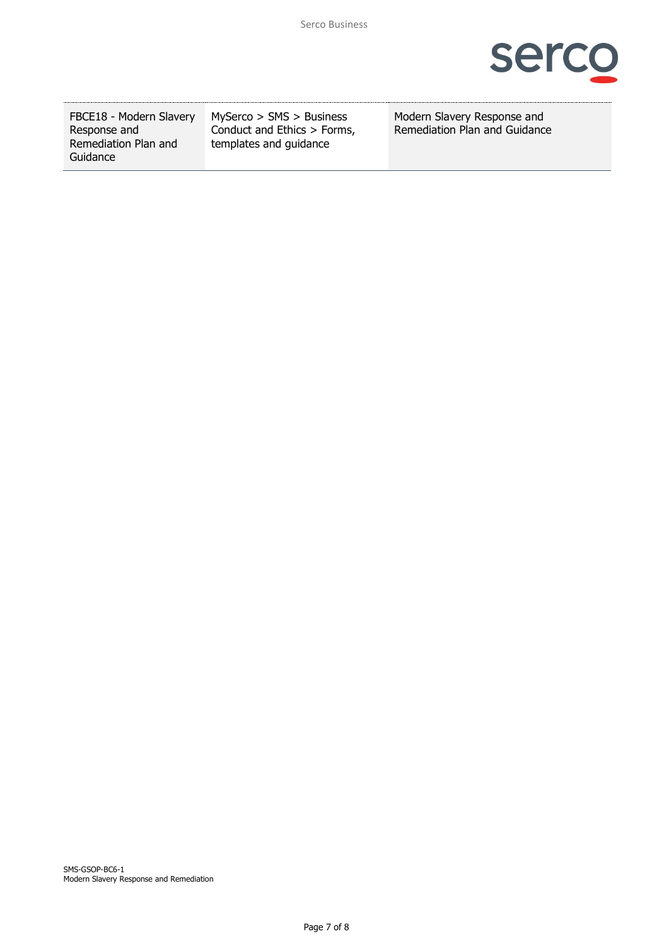

FBCE18 - Modern Slavery Response and Remediation Plan and **Guidance** 

MySerco > SMS > Business Conduct and Ethics > Forms, templates and guidance

Modern Slavery Response and Remediation Plan and Guidance